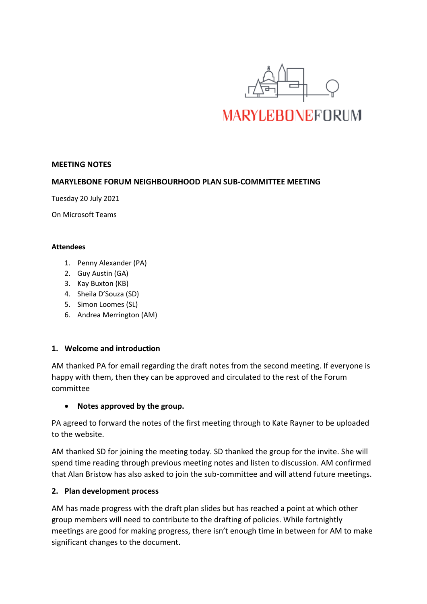

#### **MEETING NOTES**

#### **MARYLEBONE FORUM NEIGHBOURHOOD PLAN SUB-COMMITTEE MEETING**

Tuesday 20 July 2021

On Microsoft Teams

#### **Attendees**

- 1. Penny Alexander (PA)
- 2. Guy Austin (GA)
- 3. Kay Buxton (KB)
- 4. Sheila D'Souza (SD)
- 5. Simon Loomes (SL)
- 6. Andrea Merrington (AM)

# **1. Welcome and introduction**

AM thanked PA for email regarding the draft notes from the second meeting. If everyone is happy with them, then they can be approved and circulated to the rest of the Forum committee

# • **Notes approved by the group.**

PA agreed to forward the notes of the first meeting through to Kate Rayner to be uploaded to the website.

AM thanked SD for joining the meeting today. SD thanked the group for the invite. She will spend time reading through previous meeting notes and listen to discussion. AM confirmed that Alan Bristow has also asked to join the sub-committee and will attend future meetings.

# **2. Plan development process**

AM has made progress with the draft plan slides but has reached a point at which other group members will need to contribute to the drafting of policies. While fortnightly meetings are good for making progress, there isn't enough time in between for AM to make significant changes to the document.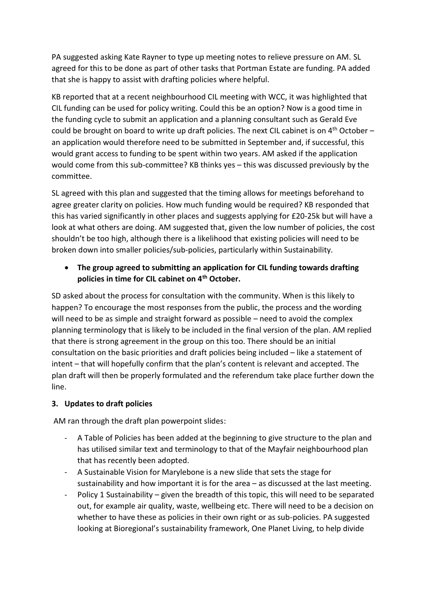PA suggested asking Kate Rayner to type up meeting notes to relieve pressure on AM. SL agreed for this to be done as part of other tasks that Portman Estate are funding. PA added that she is happy to assist with drafting policies where helpful.

KB reported that at a recent neighbourhood CIL meeting with WCC, it was highlighted that CIL funding can be used for policy writing. Could this be an option? Now is a good time in the funding cycle to submit an application and a planning consultant such as Gerald Eve could be brought on board to write up draft policies. The next CIL cabinet is on  $4^{\text{th}}$  October an application would therefore need to be submitted in September and, if successful, this would grant access to funding to be spent within two years. AM asked if the application would come from this sub-committee? KB thinks yes – this was discussed previously by the committee.

SL agreed with this plan and suggested that the timing allows for meetings beforehand to agree greater clarity on policies. How much funding would be required? KB responded that this has varied significantly in other places and suggests applying for £20-25k but will have a look at what others are doing. AM suggested that, given the low number of policies, the cost shouldn't be too high, although there is a likelihood that existing policies will need to be broken down into smaller policies/sub-policies, particularly within Sustainability.

• **The group agreed to submitting an application for CIL funding towards drafting policies in time for CIL cabinet on 4th October.**

SD asked about the process for consultation with the community. When is this likely to happen? To encourage the most responses from the public, the process and the wording will need to be as simple and straight forward as possible – need to avoid the complex planning terminology that is likely to be included in the final version of the plan. AM replied that there is strong agreement in the group on this too. There should be an initial consultation on the basic priorities and draft policies being included – like a statement of intent – that will hopefully confirm that the plan's content is relevant and accepted. The plan draft will then be properly formulated and the referendum take place further down the line.

# **3. Updates to draft policies**

AM ran through the draft plan powerpoint slides:

- A Table of Policies has been added at the beginning to give structure to the plan and has utilised similar text and terminology to that of the Mayfair neighbourhood plan that has recently been adopted.
- A Sustainable Vision for Marylebone is a new slide that sets the stage for sustainability and how important it is for the area – as discussed at the last meeting.
- Policy 1 Sustainability given the breadth of this topic, this will need to be separated out, for example air quality, waste, wellbeing etc. There will need to be a decision on whether to have these as policies in their own right or as sub-policies. PA suggested looking at Bioregional's sustainability framework, One Planet Living, to help divide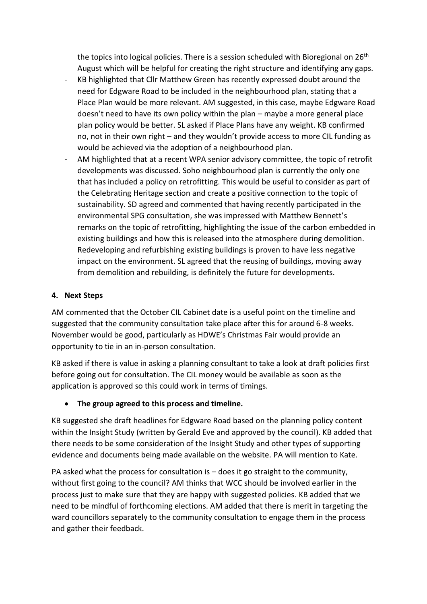the topics into logical policies. There is a session scheduled with Bioregional on 26<sup>th</sup> August which will be helpful for creating the right structure and identifying any gaps.

- KB highlighted that Cllr Matthew Green has recently expressed doubt around the need for Edgware Road to be included in the neighbourhood plan, stating that a Place Plan would be more relevant. AM suggested, in this case, maybe Edgware Road doesn't need to have its own policy within the plan – maybe a more general place plan policy would be better. SL asked if Place Plans have any weight. KB confirmed no, not in their own right – and they wouldn't provide access to more CIL funding as would be achieved via the adoption of a neighbourhood plan.
- AM highlighted that at a recent WPA senior advisory committee, the topic of retrofit developments was discussed. Soho neighbourhood plan is currently the only one that has included a policy on retrofitting. This would be useful to consider as part of the Celebrating Heritage section and create a positive connection to the topic of sustainability. SD agreed and commented that having recently participated in the environmental SPG consultation, she was impressed with Matthew Bennett's remarks on the topic of retrofitting, highlighting the issue of the carbon embedded in existing buildings and how this is released into the atmosphere during demolition. Redeveloping and refurbishing existing buildings is proven to have less negative impact on the environment. SL agreed that the reusing of buildings, moving away from demolition and rebuilding, is definitely the future for developments.

# **4. Next Steps**

AM commented that the October CIL Cabinet date is a useful point on the timeline and suggested that the community consultation take place after this for around 6-8 weeks. November would be good, particularly as HDWE's Christmas Fair would provide an opportunity to tie in an in-person consultation.

KB asked if there is value in asking a planning consultant to take a look at draft policies first before going out for consultation. The CIL money would be available as soon as the application is approved so this could work in terms of timings.

# • **The group agreed to this process and timeline.**

KB suggested she draft headlines for Edgware Road based on the planning policy content within the Insight Study (written by Gerald Eve and approved by the council). KB added that there needs to be some consideration of the Insight Study and other types of supporting evidence and documents being made available on the website. PA will mention to Kate.

PA asked what the process for consultation is – does it go straight to the community, without first going to the council? AM thinks that WCC should be involved earlier in the process just to make sure that they are happy with suggested policies. KB added that we need to be mindful of forthcoming elections. AM added that there is merit in targeting the ward councillors separately to the community consultation to engage them in the process and gather their feedback.